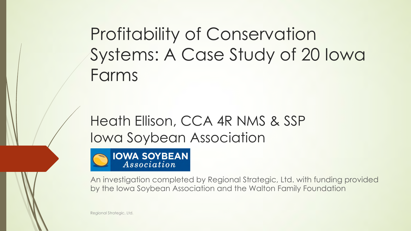Profitability of Conservation Systems: A Case Study of 20 Iowa Farms

### Heath Ellison, CCA 4R NMS & SSP Iowa Soybean Association



An investigation completed by Regional Strategic, Ltd. with funding provided by the Iowa Soybean Association and the Walton Family Foundation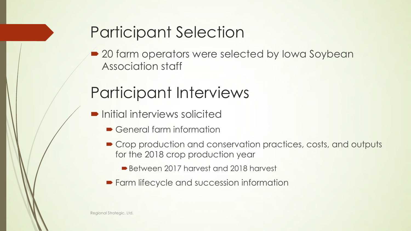# Participant Selection

• 20 farm operators were selected by Iowa Soybean Association staff

### Participant Interviews

- $\blacksquare$  Initial interviews solicited
	- $\blacktriangleright$  General farm information
	- Crop production and conservation practices, costs, and outputs for the 2018 crop production year
		- Between 2017 harvest and 2018 harvest
	- Farm lifecycle and succession information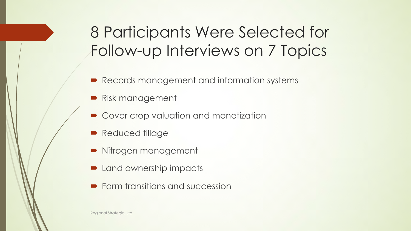# 8 Participants Were Selected for Follow-up Interviews on 7 Topics

- Records management and information systems
- Risk management
- $\bullet$  Cover crop valuation and monetization
- **Reduced tillage**
- ´ Nitrogen management
- Land ownership impacts
- $\blacktriangleright$  Farm transitions and succession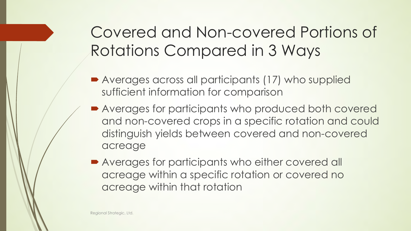# Covered and Non-covered Portions of Rotations Compared in 3 Ways

- Averages across all participants (17) who supplied sufficient information for comparison
- Averages for participants who produced both covered and non-covered crops in a specific rotation and could distinguish yields between covered and non-covered acreage
- **Averages for participants who either covered all** acreage within a specific rotation or covered no acreage within that rotation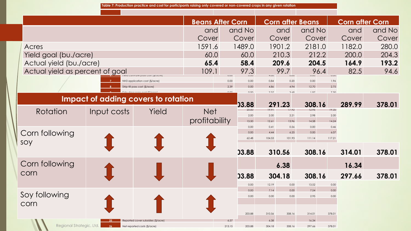|                                                                                                |             |                               | <b>Beans After Corn</b> |                |                | <b>Corn after Beans</b> |                 |                 |              | <b>Corn after Corn</b> |        |  |
|------------------------------------------------------------------------------------------------|-------------|-------------------------------|-------------------------|----------------|----------------|-------------------------|-----------------|-----------------|--------------|------------------------|--------|--|
|                                                                                                |             |                               | and                     |                | and No         |                         | and             | and No          |              | and                    | and No |  |
|                                                                                                |             | Cover                         |                         | Cover          |                | Cover                   | Cover           |                 | Cover        | Cover                  |        |  |
| Acres                                                                                          |             |                               | 1591.6                  |                | 1489.0         |                         | 1901.2          | 2181.0          |              | 1182.0                 | 280.0  |  |
| Yield goal (bu./acre)                                                                          |             |                               | 60.0                    |                | 60.0           |                         | 210.3           | 212.2           |              | 200.0                  | 204.3  |  |
| Actual yield (bu./acre)                                                                        |             |                               | 65.4                    |                | 58.4           |                         | 209.6           | 204.5           |              | 164.9                  | 193.2  |  |
| Actual yield as percent of goal                                                                |             |                               | 109.1                   | U.UU           | 97.3           |                         | 99.7            | 96.4            | U.UU         | 82.5                   | 94.6   |  |
|                                                                                                |             | NH3 application cost (\$/acre |                         | 0.00           | 0.00           | 0.84                    | 0.20            | 0.00            | 1.96         |                        |        |  |
|                                                                                                |             | Strip-till pass cost (\$/acre |                         | 2.39           | 0.00<br>0.00   | 4.86<br>237             | 4.94<br>369     | 12.70<br>197    | 2.75<br>730  |                        |        |  |
| <b>Impact of adding covers to rotation</b>                                                     |             |                               |                         |                |                |                         |                 |                 |              |                        |        |  |
|                                                                                                |             |                               |                         |                | 03.88<br>20.00 | 19.91                   | 291.23<br>17.92 | 308.16<br>12.96 | 19.35        | 289.99                 | 378.01 |  |
| Rotation                                                                                       | Input costs | Yield                         | <b>Net</b>              |                | 2.00           | 2.00                    | 2.21            | 2.98            | 2.00         |                        |        |  |
|                                                                                                |             |                               | profitability           |                | 13.50          | 12.61                   | 13.96           | 14.58           | 14.24        |                        |        |  |
| Corn following                                                                                 |             |                               |                         |                | 0.00<br>0.00   | 0.41<br>4.44            | 0.56<br>6.25    | 0.00<br>0.00    | 0.46<br>6.07 |                        |        |  |
| soy                                                                                            |             |                               |                         |                | 62.48          | 104.53                  | 101.93          | 111.14          | 117.21       |                        |        |  |
|                                                                                                |             |                               |                         |                | 03.88          |                         | 310.56          | 308.16          |              | 314.01                 | 378.01 |  |
| Corn following                                                                                 |             |                               |                         |                |                |                         | 6.38            |                 |              | 16.34                  |        |  |
| corn                                                                                           |             |                               |                         | 03.88          | 304.18         |                         | 308.16          |                 | 297.66       | 378.01                 |        |  |
|                                                                                                |             |                               |                         |                | 0.00           | 12.19                   | 0.00            | 13.52           | 0.00         |                        |        |  |
|                                                                                                |             |                               |                         |                | 0.00           | 7.14                    | 0.00            | 7.54            | 0.00         |                        |        |  |
| Soy following                                                                                  |             |                               |                         |                | 0.00           | 0.00                    | 0.00            | 2.95            | 0.00         |                        |        |  |
| corn                                                                                           |             |                               |                         |                |                |                         |                 |                 |              |                        |        |  |
|                                                                                                |             |                               |                         |                | 203.88         | 310.56                  | 308.16          | 314.01          | 378.01       |                        |        |  |
| Reported cover subsidies (\$/acre)<br>Regional Strategic, Ltd.<br>Net reported costs (\$/acre) |             |                               |                         | 6.57<br>213.15 | 203.88         | 6.38<br>304.18          | 308.16          | 16.34<br>297.66 | 378.01       |                        |        |  |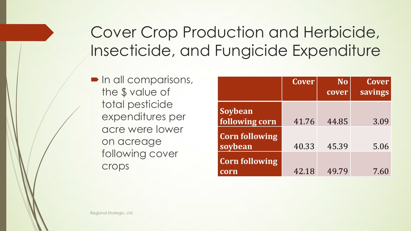# Cover Crop Production and Herbicide, Insecticide, and Fungicide Expenditure

 $\blacksquare$  In all comparisons, the \$ value of total pesticide expenditures per acre were lower on acreage following cover crops

|                                  | <b>Cover</b> | <b>No</b><br>cover | Cover<br>savings |
|----------------------------------|--------------|--------------------|------------------|
| Soybean<br>following corn        | 41.76        | 44.85              | 3.09             |
| <b>Corn following</b><br>soybean | 40.33        | 45.39              | 5.06             |
| <b>Corn following</b><br>corn    | 42.18        | 49.79              | 7.60             |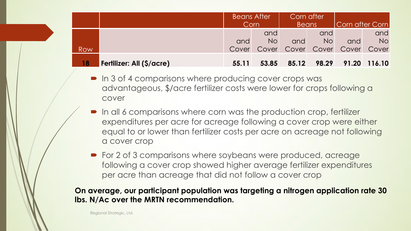|     |                           | <b>Beans After</b><br>Corn |                  | Corn after<br><b>Beans</b> |                  | Corn after Corn               |                  |
|-----|---------------------------|----------------------------|------------------|----------------------------|------------------|-------------------------------|------------------|
|     |                           | and                        | and<br><b>No</b> | and                        | and<br><b>No</b> | and                           | and<br><b>No</b> |
| Row |                           | Cover                      |                  |                            |                  | Cover Cover Cover Cover Cover |                  |
| 18  | Fertilizer: All (\$/acre) | 55.11                      | 53.85            | 85.12                      | 98.29            | 91.20 116.10                  |                  |

- $\blacksquare$  In 3 of 4 comparisons where producing cover crops was advantageous, \$/acre fertilizer costs were lower for crops following a cover
- In all 6 comparisons where corn was the production crop, fertilizer expenditures per acre for acreage following a cover crop were either equal to or lower than fertilizer costs per acre on acreage not following a cover crop
- $\blacktriangleright$  For 2 of 3 comparisons where soybeans were produced, acreage following a cover crop showed higher average fertilizer expenditures per acre than acreage that did not follow a cover crop

#### **On average, our participant population was targeting a nitrogen application rate 30 lbs. N/Ac over the MRTN recommendation.**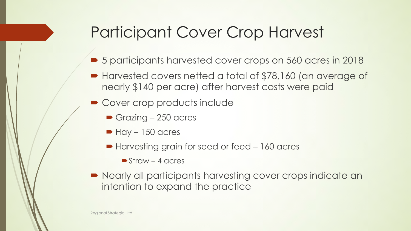### Participant Cover Crop Harvest

- 5 participants harvested cover crops on 560 acres in 2018
- Harvested covers netted a total of \$78,160 (an average of nearly \$140 per acre) after harvest costs were paid
- Cover crop products include
	- $\blacktriangleright$  Grazing 250 acres
	- $\blacktriangleright$  Hay 150 acres
	- Harvesting grain for seed or feed 160 acres
		- $\blacktriangleright$  Straw 4 acres
- $\blacktriangleright$  Nearly all participants harvesting cover crops indicate an intention to expand the practice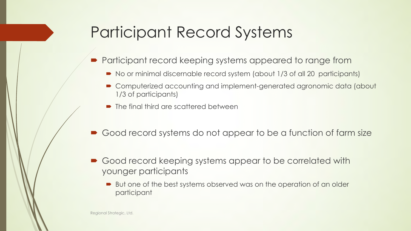### Participant Record Systems

- Participant record keeping systems appeared to range from
	- No or minimal discernable record system (about 1/3 of all 20 participants)
	- $\blacksquare$  Computerized accounting and implement-generated agronomic data (about 1/3 of participants)
	- $\blacksquare$  The final third are scattered between
- Good record systems do not appear to be a function of farm size
- Good record keeping systems appear to be correlated with younger participants
	- But one of the best systems observed was on the operation of an older participant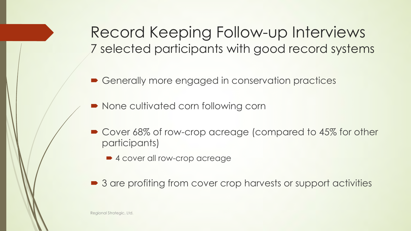Record Keeping Follow-up Interviews 7 selected participants with good record systems

• Generally more engaged in conservation practices

• None cultivated corn following corn

- Cover 68% of row-crop acreage (compared to 45% for other participants)
	- 4 cover all row-crop acreage
- 3 are profiting from cover crop harvests or support activities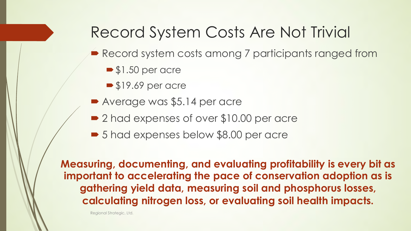### Record System Costs Are Not Trivial

- Record system costs among 7 participants ranged from
	- $\blacktriangleright$  \$1.50 per acre
	- $\blacktriangleright$  \$19.69 per acre
- Average was \$5.14 per acre
- 2 had expenses of over \$10.00 per acre
- 5 had expenses below \$8.00 per acre

**Measuring, documenting, and evaluating profitability is every bit as important to accelerating the pace of conservation adoption as is gathering yield data, measuring soil and phosphorus losses, calculating nitrogen loss, or evaluating soil health impacts.**